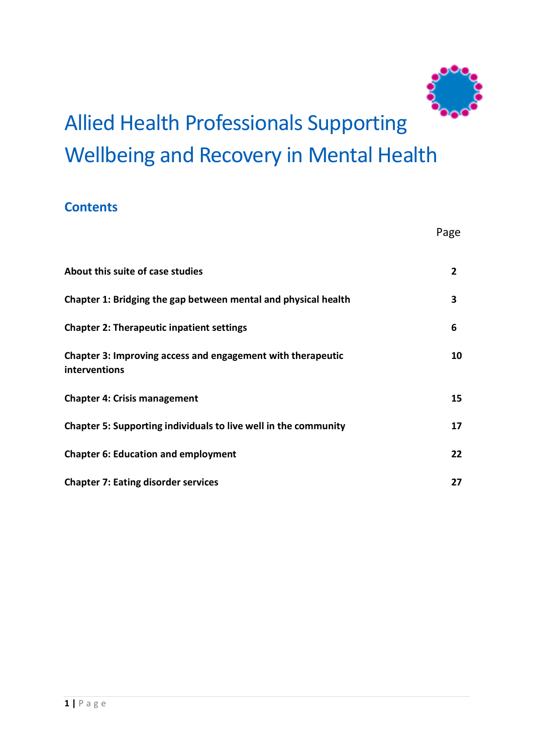

# Allied Health Professionals Supporting Wellbeing and Recovery in Mental Health

### **Contents**

|                                                                              | Page         |
|------------------------------------------------------------------------------|--------------|
| About this suite of case studies                                             | $\mathbf{2}$ |
| Chapter 1: Bridging the gap between mental and physical health               | 3            |
| <b>Chapter 2: Therapeutic inpatient settings</b>                             | 6            |
| Chapter 3: Improving access and engagement with therapeutic<br>interventions | 10           |
| <b>Chapter 4: Crisis management</b>                                          | 15           |
| Chapter 5: Supporting individuals to live well in the community              | 17           |
| <b>Chapter 6: Education and employment</b>                                   | 22           |
| <b>Chapter 7: Eating disorder services</b>                                   | 27           |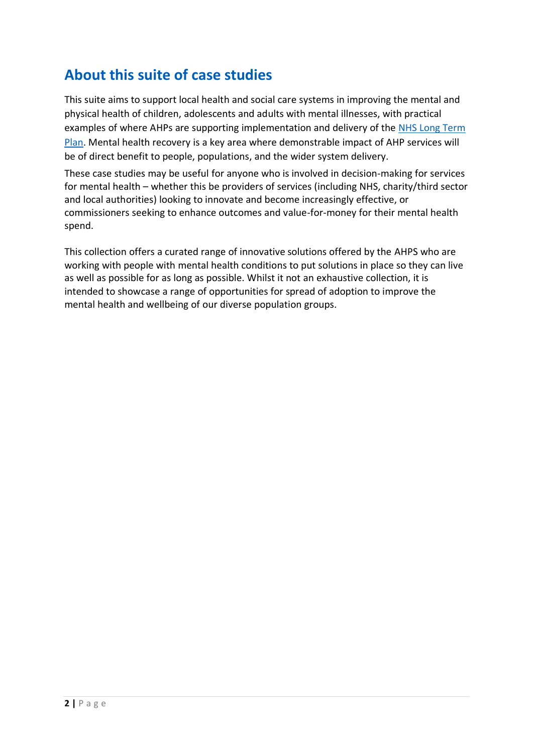# **About this suite of case studies**

This suite aims to support local health and social care systems in improving the mental and physical health of children, adolescents and adults with mental illnesses, with practical examples of where AHPs are supporting implementation and delivery of the NHS Long Term [Plan.](https://www.longtermplan.nhs.uk/wp-content/uploads/2019/08/nhs-long-term-plan-version-1.2.pdf) Mental health recovery is a key area where demonstrable impact of AHP services will be of direct benefit to people, populations, and the wider system delivery.

These case studies may be useful for anyone who is involved in decision-making for services for mental health – whether this be providers of services (including NHS, charity/third sector and local authorities) looking to innovate and become increasingly effective, or commissioners seeking to enhance outcomes and value-for-money for their mental health spend.

This collection offers a curated range of innovative solutions offered by the AHPS who are working with people with mental health conditions to put solutions in place so they can live as well as possible for as long as possible. Whilst it not an exhaustive collection, it is intended to showcase a range of opportunities for spread of adoption to improve the mental health and wellbeing of our diverse population groups.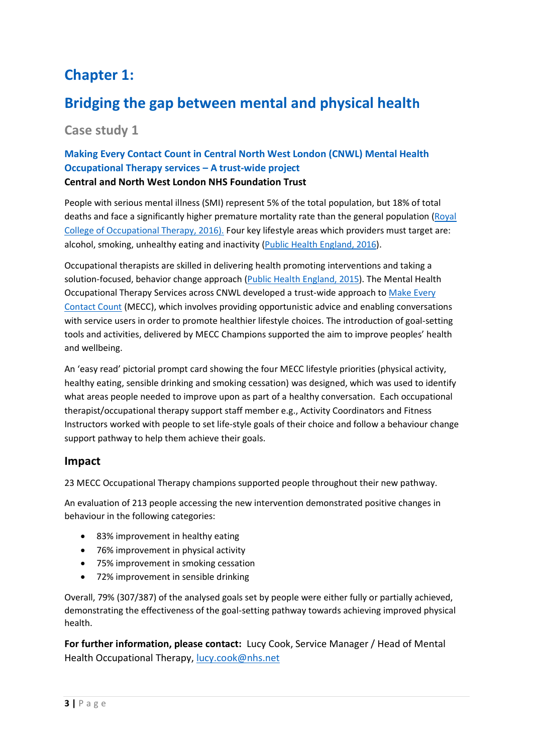# **Chapter 1:**

# **Bridging the gap between mental and physical health**

### **Case study 1**

#### **Making Every Contact Count in Central North West London (CNWL) Mental Health Occupational Therapy services – A trust-wide project Central and North West London NHS Foundation Trust**

People with serious mental illness (SMI) represent 5% of the total population, but 18% of total deaths and face a significantly higher premature mortality rate than the general population [\(Royal](https://www.rcot.co.uk/promoting-occupational-therapy/occupational-therapy-improving-lives-saving-money)  [College of Occupational Therapy, 2016\).](https://www.rcot.co.uk/promoting-occupational-therapy/occupational-therapy-improving-lives-saving-money) Four key lifestyle areas which providers must target are: alcohol, smoking, unhealthy eating and inactivity [\(Public Health England, 2016\)](https://assets.publishing.service.gov.uk/government/uploads/system/uploads/attachment_data/file/683016/Local_health_and_care_planning_menu_of_preventative_interventions_DM_NICE_amends_14.02.18__2_.pdf).

Occupational therapists are skilled in delivering health promoting interventions and taking a solution-focused, behavior change approach [\(Public Health England,](http://www.ahpf.org.uk/files/AHP%20Public%20Health%20Strategy.pdf) 2015). The Mental Health Occupational Therapy Services across CNWL developed a trust-wide approach to [Make Every](https://www.makingeverycontactcount.co.uk/)  [Contact Count](https://www.makingeverycontactcount.co.uk/) (MECC), which involves providing opportunistic advice and enabling conversations with service users in order to promote healthier lifestyle choices. The introduction of goal-setting tools and activities, delivered by MECC Champions supported the aim to improve peoples' health and wellbeing.

An 'easy read' pictorial prompt card showing the four MECC lifestyle priorities (physical activity, healthy eating, sensible drinking and smoking cessation) was designed, which was used to identify what areas people needed to improve upon as part of a healthy conversation. Each occupational therapist/occupational therapy support staff member e.g., Activity Coordinators and Fitness Instructors worked with people to set life-style goals of their choice and follow a behaviour change support pathway to help them achieve their goals.

#### **Impact**

23 MECC Occupational Therapy champions supported people throughout their new pathway.

An evaluation of 213 people accessing the new intervention demonstrated positive changes in behaviour in the following categories:

- 83% improvement in healthy eating
- 76% improvement in physical activity
- 75% improvement in smoking cessation
- 72% improvement in sensible drinking

Overall, 79% (307/387) of the analysed goals set by people were either fully or partially achieved, demonstrating the effectiveness of the goal-setting pathway towards achieving improved physical health.

**For further information, please contact:** Lucy Cook, Service Manager / Head of Mental Health Occupational Therapy, [lucy.cook@nhs.net](mailto:lucy.cook@nhs.net)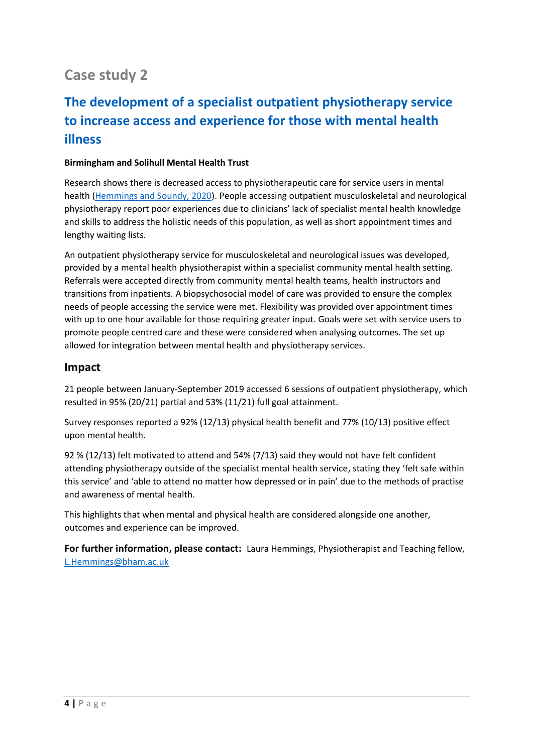# **Case study 2**

# **The development of a specialist outpatient physiotherapy service to increase access and experience for those with mental health illness**

#### **Birmingham and Solihull Mental Health Trust**

Research shows there is decreased access to physiotherapeutic care for service users in mental health [\(Hemmings and Soundy, 2020\)](https://www.physiotherapyjournal.com/article/S0031-9406(20)30001-8/abstract). People accessing outpatient musculoskeletal and neurological physiotherapy report poor experiences due to clinicians' lack of specialist mental health knowledge and skills to address the holistic needs of this population, as well as short appointment times and lengthy waiting lists.

An outpatient physiotherapy service for musculoskeletal and neurological issues was developed, provided by a mental health physiotherapist within a specialist community mental health setting. Referrals were accepted directly from community mental health teams, health instructors and transitions from inpatients. A biopsychosocial model of care was provided to ensure the complex needs of people accessing the service were met. Flexibility was provided over appointment times with up to one hour available for those requiring greater input. Goals were set with service users to promote people centred care and these were considered when analysing outcomes. The set up allowed for integration between mental health and physiotherapy services.

#### **Impact**

21 people between January-September 2019 accessed 6 sessions of outpatient physiotherapy, which resulted in 95% (20/21) partial and 53% (11/21) full goal attainment.

Survey responses reported a 92% (12/13) physical health benefit and 77% (10/13) positive effect upon mental health.

92 % (12/13) felt motivated to attend and 54% (7/13) said they would not have felt confident attending physiotherapy outside of the specialist mental health service, stating they 'felt safe within this service' and 'able to attend no matter how depressed or in pain' due to the methods of practise and awareness of mental health.

This highlights that when mental and physical health are considered alongside one another, outcomes and experience can be improved.

**For further information, please contact:** Laura Hemmings, Physiotherapist and Teaching fellow, [L.Hemmings@bham.ac.uk](mailto:L.Hemmings@bham.ac.uk)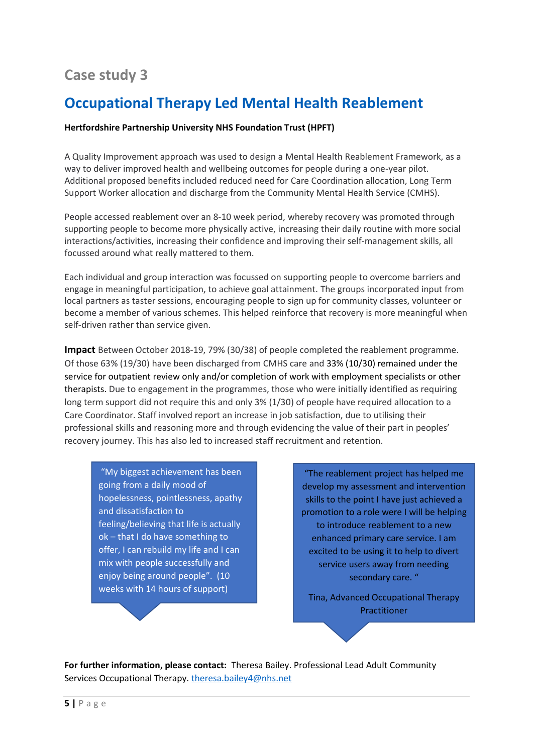# **Case study 3**

# **Occupational Therapy Led Mental Health Reablement**

#### **Hertfordshire Partnership University NHS Foundation Trust (HPFT)**

A Quality Improvement approach was used to design a Mental Health Reablement Framework, as a way to deliver improved health and wellbeing outcomes for people during a one-year pilot. Additional proposed benefits included reduced need for Care Coordination allocation, Long Term Support Worker allocation and discharge from the Community Mental Health Service (CMHS).

People accessed reablement over an 8-10 week period, whereby recovery was promoted through supporting people to become more physically active, increasing their daily routine with more social interactions/activities, increasing their confidence and improving their self-management skills, all focussed around what really mattered to them.

Each individual and group interaction was focussed on supporting people to overcome barriers and engage in meaningful participation, to achieve goal attainment. The groups incorporated input from local partners as taster sessions, encouraging people to sign up for community classes, volunteer or become a member of various schemes. This helped reinforce that recovery is more meaningful when self-driven rather than service given.

**Impact** Between October 2018-19, 79% (30/38) of people completed the reablement programme. Of those 63% (19/30) have been discharged from CMHS care and 33% (10/30) remained under the service for outpatient review only and/or completion of work with employment specialists or other therapists. Due to engagement in the programmes, those who were initially identified as requiring long term support did not require this and only 3% (1/30) of people have required allocation to a Care Coordinator. Staff involved report an increase in job satisfaction, due to utilising their professional skills and reasoning more and through evidencing the value of their part in peoples' recovery journey. This has also led to increased staff recruitment and retention.

"My biggest achievement has been going from a daily mood of hopelessness, pointlessness, apathy and dissatisfaction to feeling/believing that life is actually ok – that I do have something to offer, I can rebuild my life and I can mix with people successfully and enjoy being around people". (10 weeks with 14 hours of support)

"The reablement project has helped me develop my assessment and intervention skills to the point I have just achieved a promotion to a role were I will be helping to introduce reablement to a new enhanced primary care service. I am excited to be using it to help to divert service users away from needing secondary care. "

Tina, Advanced Occupational Therapy Practitioner

**For further information, please contact:** Theresa Bailey. Professional Lead Adult Community Services Occupational Therapy. [theresa.bailey4@nhs.net](mailto:theresa.bailey4@nhs.net)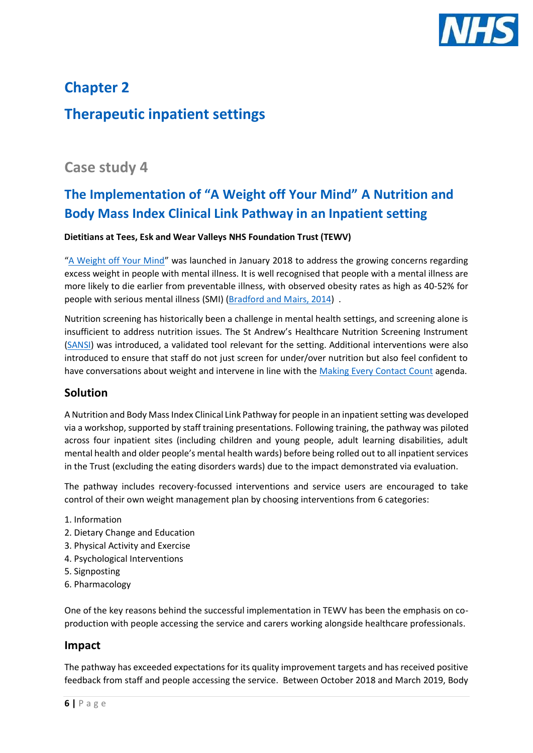

# **Chapter 2 Therapeutic inpatient settings**

### **Case study 4**

# **The Implementation of "A Weight off Your Mind" A Nutrition and Body Mass Index Clinical Link Pathway in an Inpatient setting**

#### **Dietitians at Tees, Esk and Wear Valleys NHS Foundation Trust (TEWV)**

"[A Weight off Your Mind](https://www.tewv.nhs.uk/about-your-care/health-wellbeing/weight-off-your-mind/)" was launched in January 2018 to address the growing concerns regarding excess weight in people with mental illness. It is well recognised that people with a mental illness are more likely to die earlier from preventable illness, with observed obesity rates as high as 40-52% for people with serious mental illness (SMI) [\(Bradford and Mairs, 2014\)](https://www.ncbi.nlm.nih.gov/pmc/articles/PMC4934464/) .

Nutrition screening has historically been a challenge in mental health settings, and screening alone is insufficient to address nutrition issues. The St Andrew's Healthcare Nutrition Screening Instrument [\(SANSI\)](https://www.researchgate.net/publication/221736601_Identification_of_nutritional_risk_by_nursing_staff_in_secure_psychiatric_settings_Reliability_and_validity_of_St_Andrew) was introduced, a validated tool relevant for the setting. Additional interventions were also introduced to ensure that staff do not just screen for under/over nutrition but also feel confident to have conversations about weight and intervene in line with the [Making Every Contact Count](https://www.makingeverycontactcount.co.uk/) agenda.

#### **Solution**

A Nutrition and Body Mass Index Clinical Link Pathway for people in an inpatient setting was developed via a workshop, supported by staff training presentations. Following training, the pathway was piloted across four inpatient sites (including children and young people, adult learning disabilities, adult mental health and older people's mental health wards) before being rolled out to all inpatient services in the Trust (excluding the eating disorders wards) due to the impact demonstrated via evaluation.

The pathway includes recovery-focussed interventions and service users are encouraged to take control of their own weight management plan by choosing interventions from 6 categories:

- 1. Information
- 2. Dietary Change and Education
- 3. Physical Activity and Exercise
- 4. Psychological Interventions
- 5. Signposting
- 6. Pharmacology

One of the key reasons behind the successful implementation in TEWV has been the emphasis on coproduction with people accessing the service and carers working alongside healthcare professionals.

#### **Impact**

The pathway has exceeded expectations for its quality improvement targets and has received positive feedback from staff and people accessing the service. Between October 2018 and March 2019, Body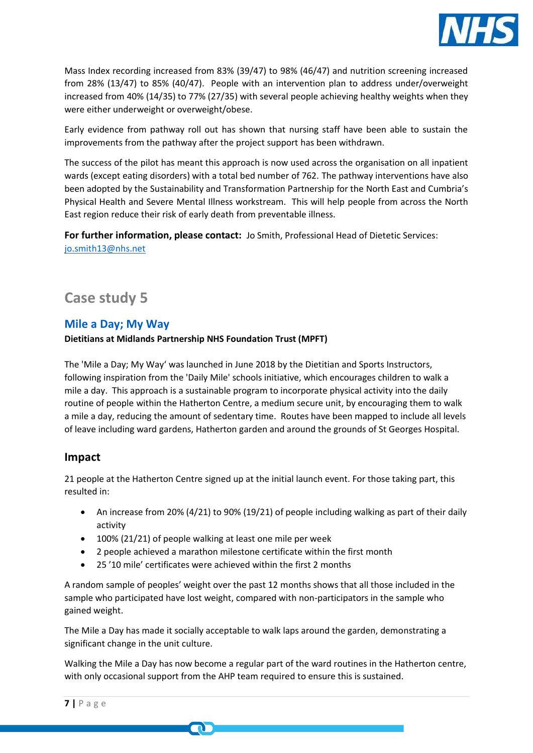

Mass Index recording increased from 83% (39/47) to 98% (46/47) and nutrition screening increased from 28% (13/47) to 85% (40/47). People with an intervention plan to address under/overweight increased from 40% (14/35) to 77% (27/35) with several people achieving healthy weights when they were either underweight or overweight/obese.

Early evidence from pathway roll out has shown that nursing staff have been able to sustain the improvements from the pathway after the project support has been withdrawn.

The success of the pilot has meant this approach is now used across the organisation on all inpatient wards (except eating disorders) with a total bed number of 762. The pathway interventions have also been adopted by the Sustainability and Transformation Partnership for the North East and Cumbria's Physical Health and Severe Mental Illness workstream. This will help people from across the North East region reduce their risk of early death from preventable illness.

**For further information, please contact:** Jo Smith, Professional Head of Dietetic Services: [jo.smith13@nhs.net](mailto:jo.smith13@nhs.net)

# **Case study 5**

#### **Mile a Day; My Way**

#### **Dietitians at Midlands Partnership NHS Foundation Trust (MPFT)**

The 'Mile a Day; My Way' was launched in June 2018 by the Dietitian and Sports Instructors, following inspiration from the 'Daily Mile' schools initiative, which encourages children to walk a mile a day. This approach is a sustainable program to incorporate physical activity into the daily routine of people within the Hatherton Centre, a medium secure unit, by encouraging them to walk a mile a day, reducing the amount of sedentary time. Routes have been mapped to include all levels of leave including ward gardens, Hatherton garden and around the grounds of St Georges Hospital.

#### **Impact**

21 people at the Hatherton Centre signed up at the initial launch event. For those taking part, this resulted in:

- An increase from 20% (4/21) to 90% (19/21) of people including walking as part of their daily activity
- 100% (21/21) of people walking at least one mile per week

m

- 2 people achieved a marathon milestone certificate within the first month
- 25 '10 mile' certificates were achieved within the first 2 months

A random sample of peoples' weight over the past 12 months shows that all those included in the sample who participated have lost weight, compared with non-participators in the sample who gained weight.

The Mile a Day has made it socially acceptable to walk laps around the garden, demonstrating a significant change in the unit culture.

Walking the Mile a Day has now become a regular part of the ward routines in the Hatherton centre, with only occasional support from the AHP team required to ensure this is sustained.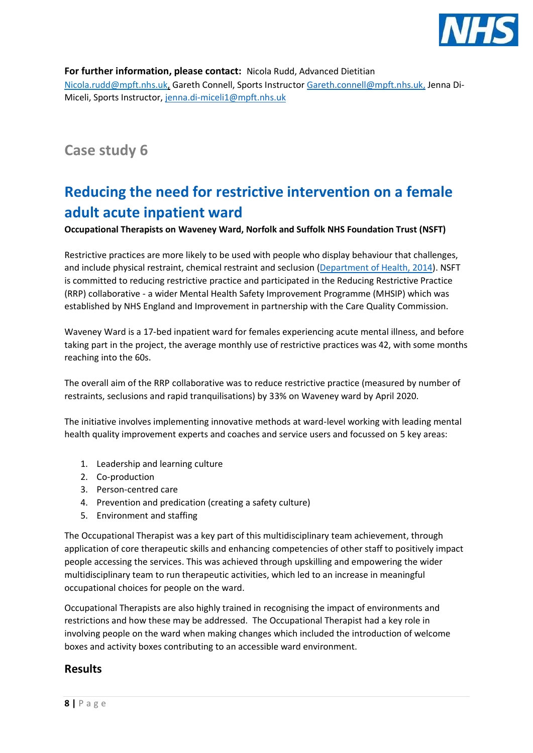

**For further information, please contact:** Nicola Rudd, Advanced Dietitian [Nicola.rudd@mpft.nhs.uk,](mailto:Nicola.rudd@mpft.nhs.uk) Gareth Connell, Sports Instructo[r Gareth.connell@mpft.nhs.uk,](mailto:Gareth.connell@mpft.nhs.uk) Jenna Di-Miceli, Sports Instructor, [jenna.di-miceli1@mpft.nhs.uk](mailto:jenna.di-miceli1@mpft.nhs.uk)

# **Case study 6**

# **Reducing the need for restrictive intervention on a female adult acute inpatient ward**

**Occupational Therapists on Waveney Ward, Norfolk and Suffolk NHS Foundation Trust (NSFT)**

Restrictive practices are more likely to be used with people who display behaviour that challenges, and include physical restraint, chemical restraint and seclusion [\(Department of Health, 2014\)](https://www.gov.uk/government/publications/positive-and-proactive-care-reducing-restrictive-interventions). NSFT is committed to reducing restrictive practice and participated in the Reducing Restrictive Practice (RRP) collaborative - a wider Mental Health Safety Improvement Programme (MHSIP) which was established by NHS England and Improvement in partnership with the Care Quality Commission.

Waveney Ward is a 17-bed inpatient ward for females experiencing acute mental illness, and before taking part in the project, the average monthly use of restrictive practices was 42, with some months reaching into the 60s.

The overall aim of the RRP collaborative was to reduce restrictive practice (measured by number of restraints, seclusions and rapid tranquilisations) by 33% on Waveney ward by April 2020.

The initiative involves implementing innovative methods at ward-level working with leading mental health quality improvement experts and coaches and service users and focussed on 5 key areas:

- 1. Leadership and learning culture
- 2. Co-production
- 3. Person-centred care
- 4. Prevention and predication (creating a safety culture)
- 5. Environment and staffing

The Occupational Therapist was a key part of this multidisciplinary team achievement, through application of core therapeutic skills and enhancing competencies of other staff to positively impact people accessing the services. This was achieved through upskilling and empowering the wider multidisciplinary team to run therapeutic activities, which led to an increase in meaningful occupational choices for people on the ward.

Occupational Therapists are also highly trained in recognising the impact of environments and restrictions and how these may be addressed. The Occupational Therapist had a key role in involving people on the ward when making changes which included the introduction of welcome boxes and activity boxes contributing to an accessible ward environment.

#### **Results**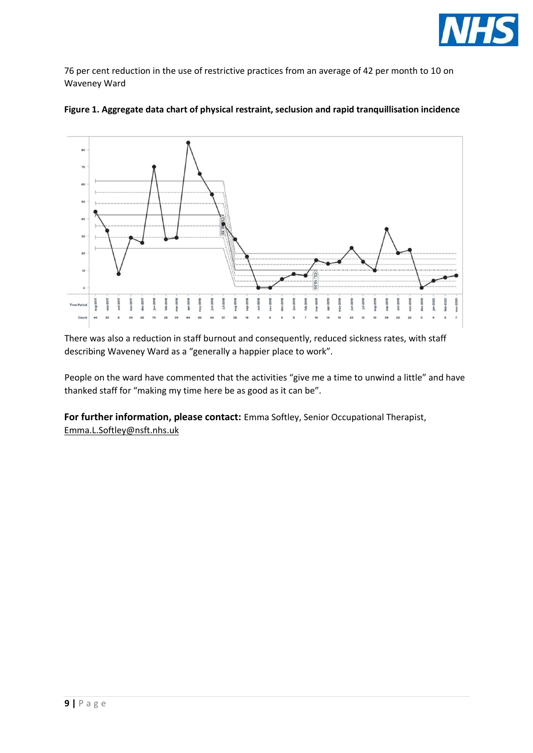

76 per cent reduction in the use of restrictive practices from an average of 42 per month to 10 on Waveney Ward





There was also a reduction in staff burnout and consequently, reduced sickness rates, with staff describing Waveney Ward as a "generally a happier place to work".

People on the ward have commented that the activities "give me a time to unwind a little" and have thanked staff for "making my time here be as good as it can be".

**For further information, please contact:** Emma Softley, Senior Occupational Therapist, [Emma.L.Softley@nsft.nhs.uk](mailto:Emma.L.Softley@nsft.nhs.uk)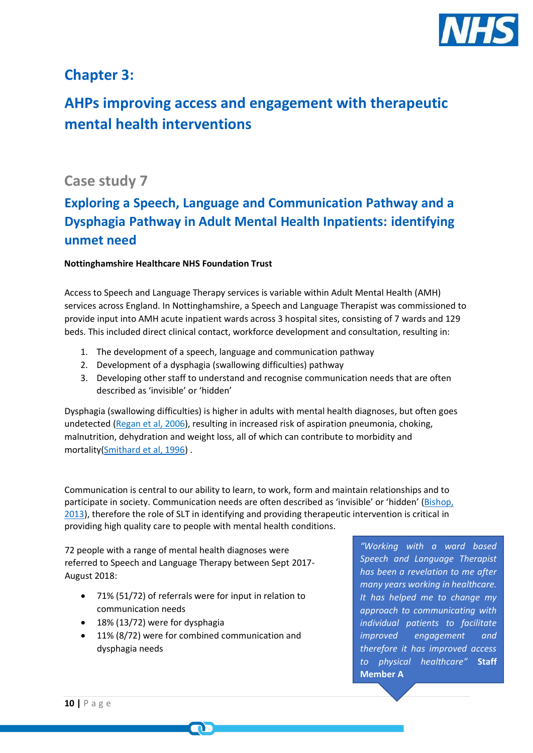

### **Chapter 3:**

# **AHPs improving access and engagement with therapeutic mental health interventions**

### **Case study 7**

# **Exploring a Speech, Language and Communication Pathway and a Dysphagia Pathway in Adult Mental Health Inpatients: identifying unmet need**

#### **Nottinghamshire Healthcare NHS Foundation Trust**

Access to Speech and Language Therapy services is variable within Adult Mental Health (AMH) services across England. In Nottinghamshire, a Speech and Language Therapist was commissioned to provide input into AMH acute inpatient wards across 3 hospital sites, consisting of 7 wards and 129 beds. This included direct clinical contact, workforce development and consultation, resulting in:

- 1. The development of a speech, language and communication pathway
- 2. Development of a dysphagia (swallowing difficulties) pathway
- 3. Developing other staff to understand and recognise communication needs that are often described as 'invisible' or 'hidden'

Dysphagia (swallowing difficulties) is higher in adults with mental health diagnoses, but often goes undetected [\(Regan et al, 2006\)](https://pubmed.ncbi.nlm.nih.gov/16763936/), resulting in increased risk of aspiration pneumonia, choking, malnutrition, dehydration and weight loss, all of which can contribute to morbidity and mortality(Smithard [et al, 1996\)](https://www.ncbi.nlm.nih.gov/pubmed/8685928) .

Communication is central to our ability to learn, to work, form and maintain relationships and to participate in society. Communication needs are often described as 'invisible' or 'hidden' [\(Bishop,](https://journals.plos.org/plosone/article?id=10.1371/journal.pone.0015112)  [2013\)](https://journals.plos.org/plosone/article?id=10.1371/journal.pone.0015112), therefore the role of SLT in identifying and providing therapeutic intervention is critical in providing high quality care to people with mental health conditions.

72 people with a range of mental health diagnoses were referred to Speech and Language Therapy between Sept 2017- August 2018:

- 71% (51/72) of referrals were for input in relation to communication needs
- 18% (13/72) were for dysphagia
- 11% (8/72) were for combined communication and dysphagia needs

*"Working with a ward based Speech and Language Therapist has been a revelation to me after many years working in healthcare. It has helped me to change my approach to communicating with individual patients to facilitate improved engagement and therefore it has improved access to physical healthcare"* **Staff Member A**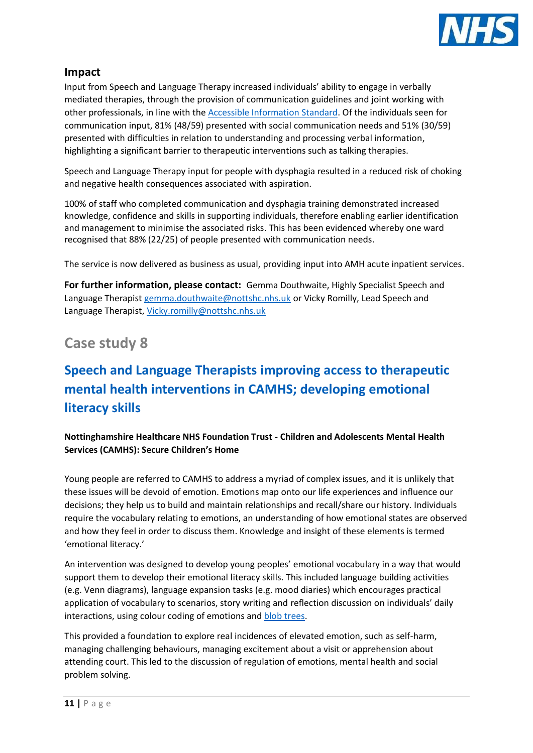

Input from Speech and Language Therapy increased individuals' ability to engage in verbally mediated therapies, through the provision of communication guidelines and joint working with other professionals, in line with the [Accessible Information Standard.](https://www.england.nhs.uk/ourwork/accessibleinfo/) Of the individuals seen for communication input, 81% (48/59) presented with social communication needs and 51% (30/59) presented with difficulties in relation to understanding and processing verbal information, highlighting a significant barrier to therapeutic interventions such as talking therapies.

Speech and Language Therapy input for people with dysphagia resulted in a reduced risk of choking and negative health consequences associated with aspiration.

100% of staff who completed communication and dysphagia training demonstrated increased knowledge, confidence and skills in supporting individuals, therefore enabling earlier identification and management to minimise the associated risks. This has been evidenced whereby one ward recognised that 88% (22/25) of people presented with communication needs.

The service is now delivered as business as usual, providing input into AMH acute inpatient services.

**For further information, please contact:** Gemma Douthwaite, Highly Specialist Speech and Language Therapist [gemma.douthwaite@nottshc.nhs.uk](mailto:gemma.douthwaite@nottshc.nhs.uk) or Vicky Romilly, Lead Speech and Language Therapist, [Vicky.romilly@nottshc.nhs.uk](mailto:Vicky.romilly@nottshc.nhs.uk)

### **Case study 8**

# **Speech and Language Therapists improving access to therapeutic mental health interventions in CAMHS; developing emotional literacy skills**

**Nottinghamshire Healthcare NHS Foundation Trust - Children and Adolescents Mental Health Services (CAMHS): Secure Children's Home**

Young people are referred to CAMHS to address a myriad of complex issues, and it is unlikely that these issues will be devoid of emotion. Emotions map onto our life experiences and influence our decisions; they help us to build and maintain relationships and recall/share our history. Individuals require the vocabulary relating to emotions, an understanding of how emotional states are observed and how they feel in order to discuss them. Knowledge and insight of these elements is termed 'emotional literacy.'

An intervention was designed to develop young peoples' emotional vocabulary in a way that would support them to develop their emotional literacy skills. This included language building activities (e.g. Venn diagrams), language expansion tasks (e.g. mood diaries) which encourages practical application of vocabulary to scenarios, story writing and reflection discussion on individuals' daily interactions, using colour coding of emotions and [blob trees.](https://www.blobtree.com/)

This provided a foundation to explore real incidences of elevated emotion, such as self-harm, managing challenging behaviours, managing excitement about a visit or apprehension about attending court. This led to the discussion of regulation of emotions, mental health and social problem solving.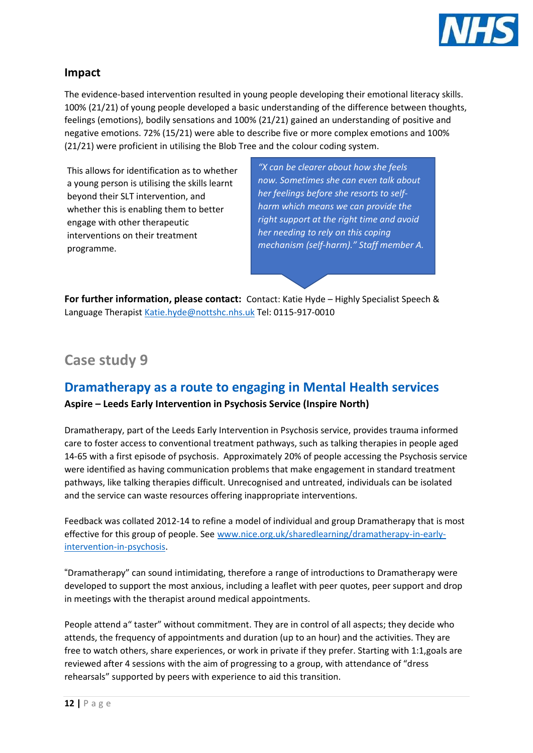

The evidence-based intervention resulted in young people developing their emotional literacy skills. 100% (21/21) of young people developed a basic understanding of the difference between thoughts, feelings (emotions), bodily sensations and 100% (21/21) gained an understanding of positive and negative emotions. 72% (15/21) were able to describe five or more complex emotions and 100% (21/21) were proficient in utilising the Blob Tree and the colour coding system.

This allows for identification as to whether a young person is utilising the skills learnt beyond their SLT intervention, and whether this is enabling them to better engage with other therapeutic interventions on their treatment programme.

*"X can be clearer about how she feels now. Sometimes she can even talk about her feelings before she resorts to selfharm which means we can provide the right support at the right time and avoid her needing to rely on this coping mechanism (self-harm)." Staff member A.*

**For further information, please contact:** Contact: Katie Hyde – Highly Specialist Speech & Language Therapist [Katie.hyde@nottshc.nhs.uk](mailto:Katie.hyde@nottshc.nhs.uk) Tel: 0115-917-0010

### **Case study 9**

### **Dramatherapy as a route to engaging in Mental Health services**

#### **Aspire – Leeds Early Intervention in Psychosis Service (Inspire North)**

Dramatherapy, part of the Leeds Early Intervention in Psychosis service, provides trauma informed care to foster access to conventional treatment pathways, such as talking therapies in people aged 14-65 with a first episode of psychosis. Approximately 20% of people accessing the Psychosis service were identified as having communication problems that make engagement in standard treatment pathways, like talking therapies difficult. Unrecognised and untreated, individuals can be isolated and the service can waste resources offering inappropriate interventions.

Feedback was collated 2012-14 to refine a model of individual and group Dramatherapy that is most effective for this group of people. See [www.nice.org.uk/sharedlearning/dramatherapy-in-early](http://www.nice.org.uk/sharedlearning/dramatherapy-in-early-intervention-in-psychosis)[intervention-in-psychosis.](http://www.nice.org.uk/sharedlearning/dramatherapy-in-early-intervention-in-psychosis)

"Dramatherapy" can sound intimidating, therefore a range of introductions to Dramatherapy were developed to support the most anxious, including a leaflet with peer quotes, peer support and drop in meetings with the therapist around medical appointments.

People attend a" taster" without commitment. They are in control of all aspects; they decide who attends, the frequency of appointments and duration (up to an hour) and the activities. They are free to watch others, share experiences, or work in private if they prefer. Starting with 1:1,goals are reviewed after 4 sessions with the aim of progressing to a group, with attendance of "dress rehearsals" supported by peers with experience to aid this transition.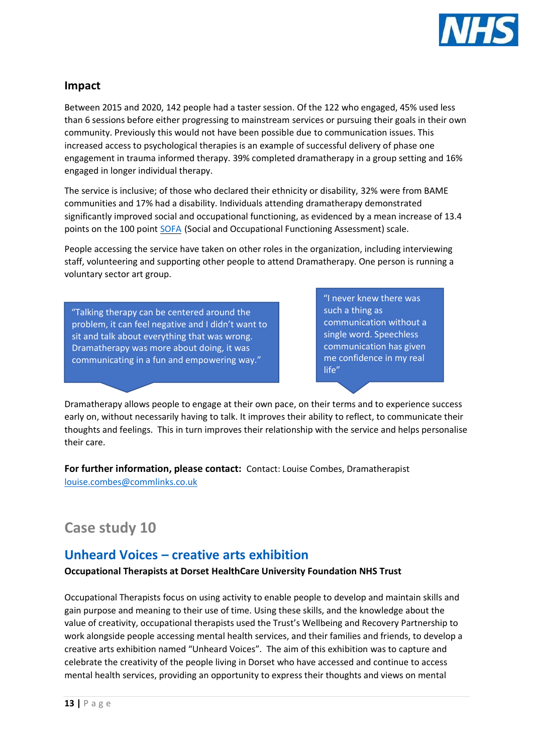

Between 2015 and 2020, 142 people had a taster session. Of the 122 who engaged, 45% used less than 6 sessions before either progressing to mainstream services or pursuing their goals in their own community. Previously this would not have been possible due to communication issues. This increased access to psychological therapies is an example of successful delivery of phase one engagement in trauma informed therapy. 39% completed dramatherapy in a group setting and 16% engaged in longer individual therapy.

The service is inclusive; of those who declared their ethnicity or disability, 32% were from BAME communities and 17% had a disability. Individuals attending dramatherapy demonstrated significantly improved social and occupational functioning, as evidenced by a mean increase of 13.4 points on the 100 point **[SOFA](https://link.springer.com/referenceworkentry/10.1007%2F978-0-387-79948-3_428)** (Social and Occupational Functioning Assessment) scale.

People accessing the service have taken on other roles in the organization, including interviewing staff, volunteering and supporting other people to attend Dramatherapy. One person is running a voluntary sector art group.

"Talking therapy can be centered around the problem, it can feel negative and I didn't want to sit and talk about everything that was wrong. Dramatherapy was more about doing, it was communicating in a fun and empowering way."

"I never knew there was such a thing as communication without a single word. Speechless communication has given me confidence in my real life"

Dramatherapy allows people to engage at their own pace, on their terms and to experience success early on, without necessarily having to talk. It improves their ability to reflect, to communicate their thoughts and feelings. This in turn improves their relationship with the service and helps personalise their care.

**For further information, please contact:** Contact: Louise Combes, Dramatherapist [louise.combes@commlinks.co.uk](mailto:louise.combes@commlinks.co.uk)

### **Case study 10**

#### **Unheard Voices – creative arts exhibition**

#### **Occupational Therapists at Dorset HealthCare University Foundation NHS Trust**

Occupational Therapists focus on using activity to enable people to develop and maintain skills and gain purpose and meaning to their use of time. Using these skills, and the knowledge about the value of creativity, occupational therapists used the Trust's Wellbeing and Recovery Partnership to work alongside people accessing mental health services, and their families and friends, to develop a creative arts exhibition named "Unheard Voices". The aim of this exhibition was to capture and celebrate the creativity of the people living in Dorset who have accessed and continue to access mental health services, providing an opportunity to express their thoughts and views on mental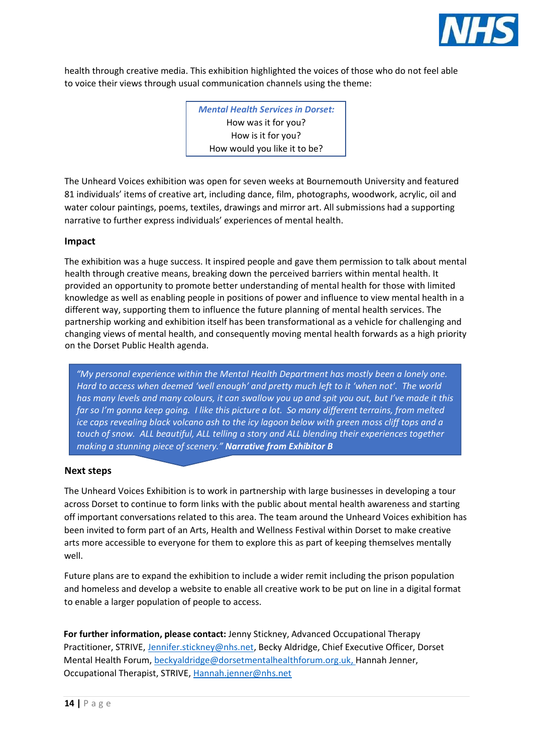

health through creative media. This exhibition highlighted the voices of those who do not feel able to voice their views through usual communication channels using the theme:

> *Mental Health Services in Dorset:* How was it for you? How is it for you? How would you like it to be?

The Unheard Voices exhibition was open for seven weeks at Bournemouth University and featured 81 individuals' items of creative art, including dance, film, photographs, woodwork, acrylic, oil and water colour paintings, poems, textiles, drawings and mirror art. All submissions had a supporting narrative to further express individuals' experiences of mental health.

#### **Impact**

The exhibition was a huge success. It inspired people and gave them permission to talk about mental health through creative means, breaking down the perceived barriers within mental health. It provided an opportunity to promote better understanding of mental health for those with limited knowledge as well as enabling people in positions of power and influence to view mental health in a different way, supporting them to influence the future planning of mental health services. The partnership working and exhibition itself has been transformational as a vehicle for challenging and changing views of mental health, and consequently moving mental health forwards as a high priority on the Dorset Public Health agenda.

*"My personal experience within the Mental Health Department has mostly been a lonely one. Hard to access when deemed 'well enough' and pretty much left to it 'when not'. The world has many levels and many colours, it can swallow you up and spit you out, but I've made it this far so I'm gonna keep going. I like this picture a lot. So many different terrains, from melted ice caps revealing black volcano ash to the icy lagoon below with green moss cliff tops and a touch of snow. ALL beautiful, ALL telling a story and ALL blending their experiences together making a stunning piece of scenery." Narrative from Exhibitor B*

#### **Next steps**

The Unheard Voices Exhibition is to work in partnership with large businesses in developing a tour across Dorset to continue to form links with the public about mental health awareness and starting off important conversations related to this area. The team around the Unheard Voices exhibition has been invited to form part of an Arts, Health and Wellness Festival within Dorset to make creative arts more accessible to everyone for them to explore this as part of keeping themselves mentally well.

Future plans are to expand the exhibition to include a wider remit including the prison population and homeless and develop a website to enable all creative work to be put on line in a digital format to enable a larger population of people to access.

**For further information, please contact:** Jenny Stickney, Advanced Occupational Therapy Practitioner, STRIVE, [Jennifer.stickney@nhs.net,](mailto:Jennifer.stickney@nhs.net) Becky Aldridge, Chief Executive Officer, Dorset Mental Health Forum, [beckyaldridge@dorsetmentalhealthforum.org.uk,](mailto:beckyaldridge@dorsetmentalhealthforum.org.uk) Hannah Jenner, Occupational Therapist, STRIVE, [Hannah.jenner@nhs.net](mailto:Hannah.jenner@nhs.net)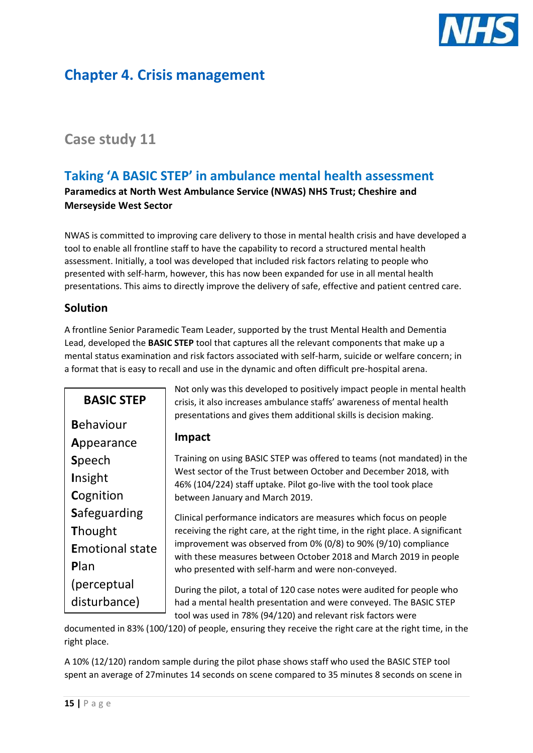

## **Chapter 4. Crisis management**

### **Case study 11**

### **Taking 'A BASIC STEP' in ambulance mental health assessment**

**Paramedics at North West Ambulance Service (NWAS) NHS Trust; Cheshire and Merseyside West Sector**

NWAS is committed to improving care delivery to those in mental health crisis and have developed a tool to enable all frontline staff to have the capability to record a structured mental health assessment. Initially, a tool was developed that included risk factors relating to people who presented with self-harm, however, this has now been expanded for use in all mental health presentations. This aims to directly improve the delivery of safe, effective and patient centred care.

#### **Solution**

A frontline Senior Paramedic Team Leader, supported by the trust Mental Health and Dementia Lead, developed the **BASIC STEP** tool that captures all the relevant components that make up a mental status examination and risk factors associated with self-harm, suicide or welfare concern; in a format that is easy to recall and use in the dynamic and often difficult pre-hospital arena.

| <b>BASIC STEP</b>      | Not only was this developed to positively impact people in mental health<br>crisis, it also increases ambulance staffs' awareness of mental health<br>presentations and gives them additional skills is decision making. |
|------------------------|--------------------------------------------------------------------------------------------------------------------------------------------------------------------------------------------------------------------------|
| <b>Behaviour</b>       |                                                                                                                                                                                                                          |
| Appearance             | <b>Impact</b>                                                                                                                                                                                                            |
| <b>Speech</b>          | Training on using BASIC STEP was offered to teams (not mandated) in the                                                                                                                                                  |
| Insight                | West sector of the Trust between October and December 2018, with<br>46% (104/224) staff uptake. Pilot go-live with the tool took place                                                                                   |
| Cognition              | between January and March 2019.                                                                                                                                                                                          |
| Safeguarding           | Clinical performance indicators are measures which focus on people                                                                                                                                                       |
| <b>Thought</b>         | receiving the right care, at the right time, in the right place. A significant                                                                                                                                           |
| <b>Emotional state</b> | improvement was observed from 0% (0/8) to 90% (9/10) compliance<br>with these measures between October 2018 and March 2019 in people                                                                                     |
| Plan                   | who presented with self-harm and were non-conveyed.                                                                                                                                                                      |
| (perceptual            | During the pilot, a total of 120 case notes were audited for people who                                                                                                                                                  |
| disturbance)           | had a mental health presentation and were conveyed. The BASIC STEP                                                                                                                                                       |
|                        | tool was used in 78% (94/120) and relevant risk factors were                                                                                                                                                             |

documented in 83% (100/120) of people, ensuring they receive the right care at the right time, in the right place.

A 10% (12/120) random sample during the pilot phase shows staff who used the BASIC STEP tool spent an average of 27minutes 14 seconds on scene compared to 35 minutes 8 seconds on scene in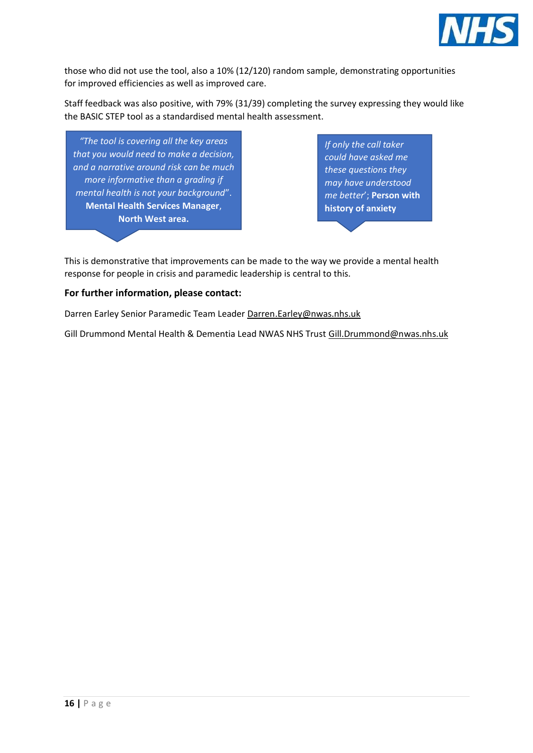

those who did not use the tool, also a 10% (12/120) random sample, demonstrating opportunities for improved efficiencies as well as improved care.

Staff feedback was also positive, with 79% (31/39) completing the survey expressing they would like the BASIC STEP tool as a standardised mental health assessment.

*"The tool is covering all the key areas that you would need to make a decision, and a narrative around risk can be much more informative than a grading if mental health is not your background*". **Mental Health Services Manager**, **North West area.**

*If only the call taker could have asked me these questions they may have understood me better*'; **Person with history of anxiety** 

This is demonstrative that improvements can be made to the way we provide a mental health response for people in crisis and paramedic leadership is central to this.

#### **For further information, please contact:**

Darren Earley Senior Paramedic Team Leader [Darren.Earley@nwas.nhs.uk](mailto:Darren.Earley@nwas.nhs.uk)

Gill Drummond Mental Health & Dementia Lead NWAS NHS Trust [Gill.Drummond@nwas.nhs.uk](mailto:Gill.Drummond@nwas.nhs.uk)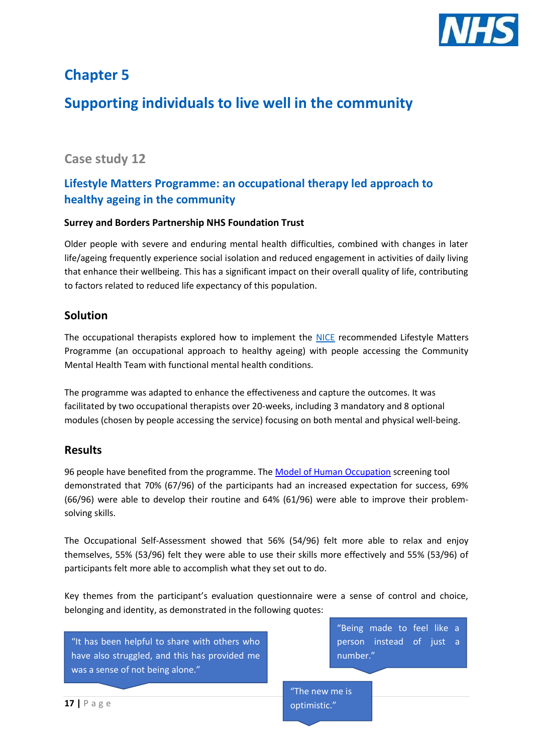

# **Chapter 5**

# **Supporting individuals to live well in the community**

### **Case study 12**

### **Lifestyle Matters Programme: an occupational therapy led approach to healthy ageing in the community**

#### **Surrey and Borders Partnership NHS Foundation Trust**

Older people with severe and enduring mental health difficulties, combined with changes in later life/ageing frequently experience social isolation and reduced engagement in activities of daily living that enhance their wellbeing. This has a significant impact on their overall quality of life, contributing to factors related to reduced life expectancy of this population.

#### **Solution**

The occupational therapists explored how to implement the [NICE](https://www.nice.org.uk/sharedlearning/a-lifestyle-matters-approach-with-a-group-of-older-people-in-warden-controlled-accommodation) recommended Lifestyle Matters Programme (an occupational approach to healthy ageing) with people accessing the Community Mental Health Team with functional mental health conditions.

The programme was adapted to enhance the effectiveness and capture the outcomes. It was facilitated by two occupational therapists over 20-weeks, including 3 mandatory and 8 optional modules (chosen by people accessing the service) focusing on both mental and physical well-being.

#### **Results**

96 people have benefited from the programme. The [Model of Human Occupation](https://moho-irm.uic.edu/) screening tool demonstrated that 70% (67/96) of the participants had an increased expectation for success, 69% (66/96) were able to develop their routine and 64% (61/96) were able to improve their problemsolving skills.

The Occupational Self-Assessment showed that 56% (54/96) felt more able to relax and enjoy themselves, 55% (53/96) felt they were able to use their skills more effectively and 55% (53/96) of participants felt more able to accomplish what they set out to do.

Key themes from the participant's evaluation questionnaire were a sense of control and choice, belonging and identity, as demonstrated in the following quotes:

"It has been helpful to share with others who have also struggled, and this has provided me was a sense of not being alone."

"Being made to feel like a person instead of just a number."

"The new me is optimistic."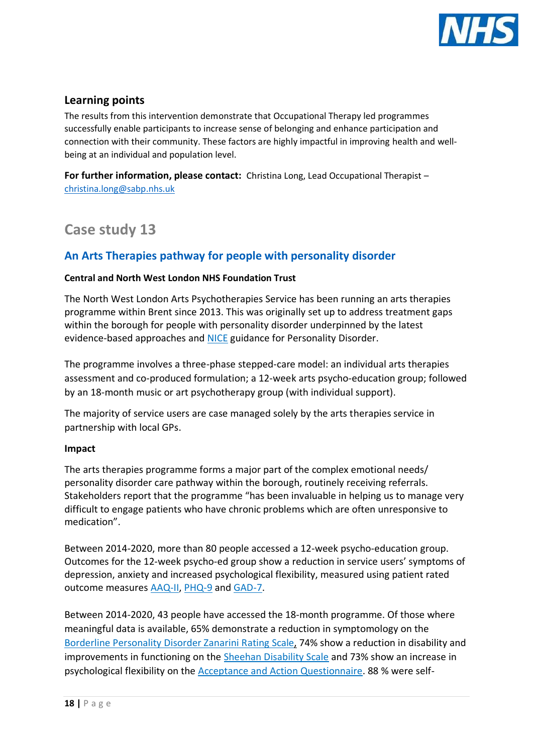

#### **Learning points**

The results from this intervention demonstrate that Occupational Therapy led programmes successfully enable participants to increase sense of belonging and enhance participation and connection with their community. These factors are highly impactful in improving health and wellbeing at an individual and population level.

**For further information, please contact:** Christina Long, Lead Occupational Therapist – [christina.long@sabp.nhs.uk](mailto:christina.long@sabp.nhs.uk) 

### **Case study 13**

#### **An Arts Therapies pathway for people with personality disorder**

#### **Central and North West London NHS Foundation Trust**

The North West London Arts Psychotherapies Service has been running an arts therapies programme within Brent since 2013. This was originally set up to address treatment gaps within the borough for people with personality disorder underpinned by the latest evidence-based approaches and [NICE](https://www.nice.org.uk/news/article/new-standard-to-improve-the-care-of-people-with-personality-disorders) guidance for Personality Disorder.

The programme involves a three-phase stepped-care model: an individual arts therapies assessment and co-produced formulation; a 12-week arts psycho-education group; followed by an 18-month music or art psychotherapy group (with individual support).

The majority of service users are case managed solely by the arts therapies service in partnership with local GPs.

#### **Impact**

The arts therapies programme forms a major part of the complex emotional needs/ personality disorder care pathway within the borough, routinely receiving referrals. Stakeholders report that the programme "has been invaluable in helping us to manage very difficult to engage patients who have chronic problems which are often unresponsive to medication".

Between 2014-2020, more than 80 people accessed a 12-week psycho-education group. Outcomes for the 12-week psycho-ed group show a reduction in service users' symptoms of depression, anxiety and increased psychological flexibility, measured using patient rated outcome measures [AAQ-II,](https://stevenchayes.com/wp-content/uploads/2019/08/The-Acceptance-and-Action-Questionnaire.pdf) [PHQ-9](https://www.med.umich.edu/1info/FHP/practiceguides/depress/phq-9.pdf) and [GAD-7.](https://adaa.org/sites/default/files/GAD-7_Anxiety-updated_0.pdf)

Between 2014-2020, 43 people have accessed the 18-month programme. Of those where meaningful data is available, 65% demonstrate a reduction in symptomology on the [Borderline Personality Disorder Zanarini Rating Scale,](https://guilfordjournals.com/doi/pdf/10.1521/pedi.17.3.233.22147) 74% show a reduction in disability and improvements in functioning on the [Sheehan Disability Scale](http://www.cqaimh.org/pdf/tool_lof_sds.pdf) and 73% show an increase in psychological flexibility on the [Acceptance and Action Questionnaire.](https://www.oxfordclinicalpsych.com/view/10.1093/med:psych/9780195336054.001.0001/med-9780195336054-interactive-pdf-028.pdf) 88 % were self-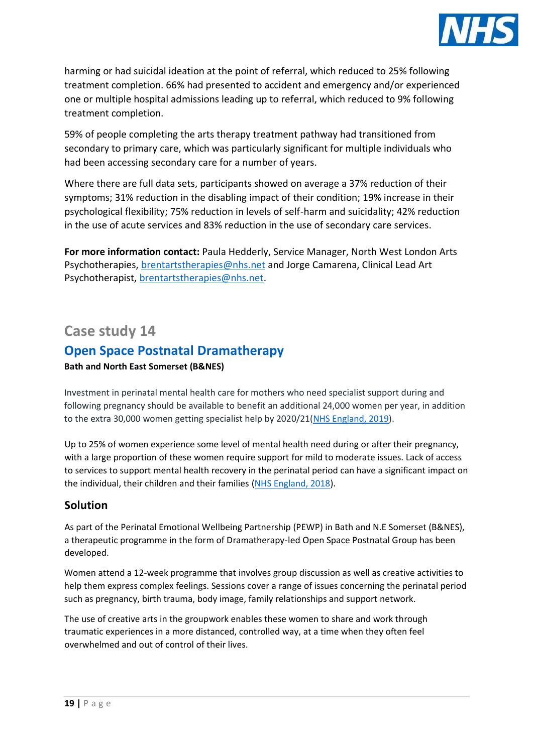

harming or had suicidal ideation at the point of referral, which reduced to 25% following treatment completion. 66% had presented to accident and emergency and/or experienced one or multiple hospital admissions leading up to referral, which reduced to 9% following treatment completion.

59% of people completing the arts therapy treatment pathway had transitioned from secondary to primary care, which was particularly significant for multiple individuals who had been accessing secondary care for a number of years.

Where there are full data sets, participants showed on average a 37% reduction of their symptoms; 31% reduction in the disabling impact of their condition; 19% increase in their psychological flexibility; 75% reduction in levels of self-harm and suicidality; 42% reduction in the use of acute services and 83% reduction in the use of secondary care services.

**For more information contact:** Paula Hedderly, Service Manager, North West London Arts Psychotherapies, [brentartstherapies@nhs.net](mailto:brentartstherapies@nhs.net) and Jorge Camarena, Clinical Lead Art Psychotherapist, [brentartstherapies@nhs.net.](mailto:brentartstherapies@nhs.net)

### **Case study 14**

### **Open Space Postnatal Dramatherapy**

#### **Bath and North East Somerset (B&NES)**

Investment in perinatal mental health care for mothers who need specialist support during and following pregnancy should be available to benefit an additional 24,000 women per year, in addition to the extra 30,000 women getting specialist help by 2020/21[\(NHS England, 2019\)](https://www.england.nhs.uk/mental-health/taskforce/imp/mh-dashboard/).

Up to 25% of women experience some level of mental health need during or after their pregnancy, with a large proportion of these women require support for mild to moderate issues. Lack of access to services to support mental health recovery in the perinatal period can have a significant impact on the individual, their children and their families [\(NHS England, 2018\)](https://www.nhs.uk/conditions/post-natal-depression/).

#### **Solution**

As part of the Perinatal Emotional Wellbeing Partnership (PEWP) in Bath and N.E Somerset (B&NES), a therapeutic programme in the form of Dramatherapy-led Open Space Postnatal Group has been developed.

Women attend a 12-week programme that involves group discussion as well as creative activities to help them express complex feelings. Sessions cover a range of issues concerning the perinatal period such as pregnancy, birth trauma, body image, family relationships and support network.

The use of creative arts in the groupwork enables these women to share and work through traumatic experiences in a more distanced, controlled way, at a time when they often feel overwhelmed and out of control of their lives.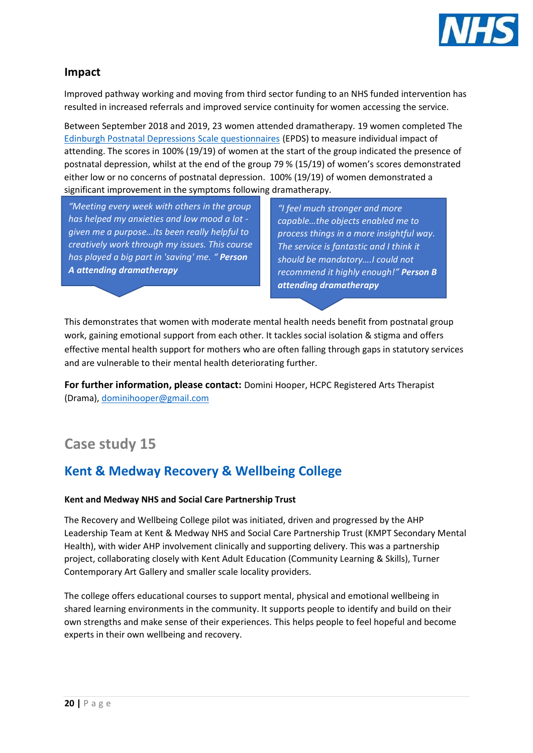

Improved pathway working and moving from third sector funding to an NHS funded intervention has resulted in increased referrals and improved service continuity for women accessing the service.

Between September 2018 and 2019, 23 women attended dramatherapy. 19 women completed The [Edinburgh Postnatal Depressions Scale questionnaires](http://perinatology.com/calculators/Edinburgh%20Depression%20Scale.htm) (EPDS) to measure individual impact of attending. The scores in 100% (19/19) of women at the start of the group indicated the presence of postnatal depression, whilst at the end of the group 79 % (15/19) of women's scores demonstrated either low or no concerns of postnatal depression. 100% (19/19) of women demonstrated a significant improvement in the symptoms following dramatherapy.

*"Meeting every week with others in the group has helped my anxieties and low mood a lot given me a purpose…its been really helpful to creatively work through my issues. This course has played a big part in 'saving' me. " Person A attending dramatherapy*

*"I feel much stronger and more capable…the objects enabled me to process things in a more insightful way. The service is fantastic and I think it should be mandatory….I could not recommend it highly enough!" Person B attending dramatherapy*

This demonstrates that women with moderate mental health needs benefit from postnatal group work, gaining emotional support from each other. It tackles social isolation & stigma and offers effective mental health support for mothers who are often falling through gaps in statutory services and are vulnerable to their mental health deteriorating further.

**For further information, please contact:** Domini Hooper, HCPC Registered Arts Therapist (Drama), [dominihooper@gmail.com](mailto:dominihooper@gmail.com)

# **Case study 15**

### **Kent & Medway Recovery & Wellbeing College**

#### **Kent and Medway NHS and Social Care Partnership Trust**

The Recovery and Wellbeing College pilot was initiated, driven and progressed by the AHP Leadership Team at Kent & Medway NHS and Social Care Partnership Trust (KMPT Secondary Mental Health), with wider AHP involvement clinically and supporting delivery. This was a partnership project, collaborating closely with Kent Adult Education (Community Learning & Skills), Turner Contemporary Art Gallery and smaller scale locality providers.

The college offers educational courses to support mental, physical and emotional wellbeing in shared learning environments in the community. It supports people to identify and build on their own strengths and make sense of their experiences. This helps people to feel hopeful and become experts in their own wellbeing and recovery.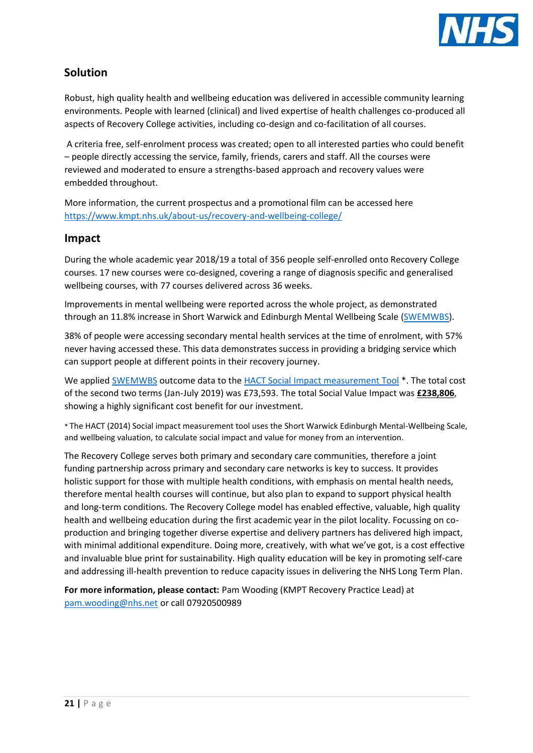

#### **Solution**

Robust, high quality health and wellbeing education was delivered in accessible community learning environments. People with learned (clinical) and lived expertise of health challenges co-produced all aspects of Recovery College activities, including co-design and co-facilitation of all courses.

A criteria free, self-enrolment process was created; open to all interested parties who could benefit – people directly accessing the service, family, friends, carers and staff. All the courses were reviewed and moderated to ensure a strengths-based approach and recovery values were embedded throughout.

More information, the current prospectus and a promotional film can be accessed here <https://www.kmpt.nhs.uk/about-us/recovery-and-wellbeing-college/>

#### **Impact**

During the whole academic year 2018/19 a total of 356 people self-enrolled onto Recovery College courses. 17 new courses were co-designed, covering a range of diagnosis specific and generalised wellbeing courses, with 77 courses delivered across 36 weeks.

Improvements in mental wellbeing were reported across the whole project, as demonstrated through an 11.8% increase in Short Warwick and Edinburgh Mental Wellbeing Scale [\(SWEMWBS\)](https://www.corc.uk.net/outcome-experience-measures/short-warwick-edinburgh-mental-wellbeing-scale/).

38% of people were accessing secondary mental health services at the time of enrolment, with 57% never having accessed these. This data demonstrates success in providing a bridging service which can support people at different points in their recovery journey.

We applied **SWEMWBS** outcome data to th[e HACT Social Impact measurement Tool](https://www.hact.org.uk/measuring-social-impact-community-investment-guide-using-wellbeing-valuation-approach)<sup>\*</sup>. The total cost of the second two terms (Jan-July 2019) was £73,593. The total Social Value Impact was **£238,806**, showing a highly significant cost benefit for our investment.

\* The HACT (2014) Social impact measurement tool uses the Short Warwick Edinburgh Mental-Wellbeing Scale, and wellbeing valuation, to calculate social impact and value for money from an intervention.

The Recovery College serves both primary and secondary care communities, therefore a joint funding partnership across primary and secondary care networks is key to success. It provides holistic support for those with multiple health conditions, with emphasis on mental health needs, therefore mental health courses will continue, but also plan to expand to support physical health and long-term conditions. The Recovery College model has enabled effective, valuable, high quality health and wellbeing education during the first academic year in the pilot locality. Focussing on coproduction and bringing together diverse expertise and delivery partners has delivered high impact, with minimal additional expenditure. Doing more, creatively, with what we've got, is a cost effective and invaluable blue print for sustainability. High quality education will be key in promoting self-care and addressing ill-health prevention to reduce capacity issues in delivering the NHS Long Term Plan.

**For more information, please contact:** Pam Wooding (KMPT Recovery Practice Lead) at [pam.wooding@nhs.net](mailto:pam.wooding@nhs.net) or call 07920500989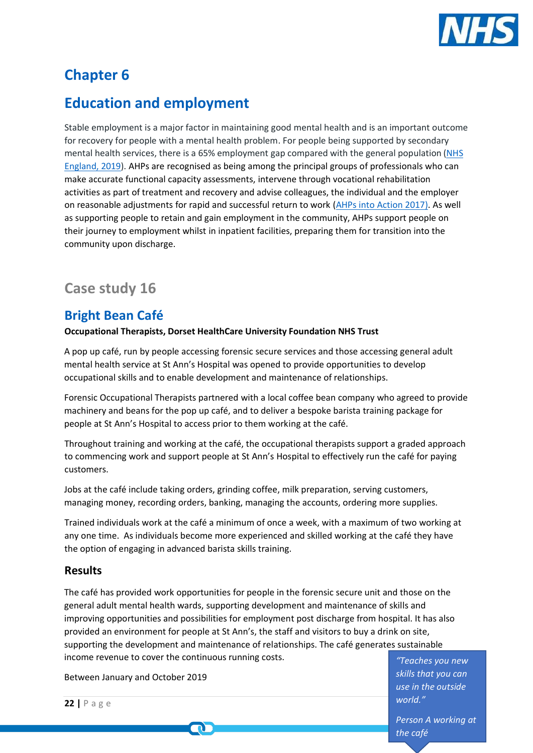

# **Chapter 6**

# **Education and employment**

Stable employment is a major factor in maintaining good mental health and is an important outcome for recovery for people with a mental health problem. For people being supported by secondary mental health services, there is a 65% employment gap compared with the general population [\(NHS](https://www.longtermplan.nhs.uk/wp-content/uploads/2019/08/nhs-long-term-plan-version-1.2.pdf)  [England, 2019\)](https://www.longtermplan.nhs.uk/wp-content/uploads/2019/08/nhs-long-term-plan-version-1.2.pdf). AHPs are recognised as being among the principal groups of professionals who can make accurate functional capacity assessments, intervene through vocational rehabilitation activities as part of treatment and recovery and advise colleagues, the individual and the employer on reasonable adjustments for rapid and successful return to work [\(AHPs into Action](https://www.england.nhs.uk/wp-content/uploads/2017/01/ahp-action-transform-hlth.pdf) 2017). As well as supporting people to retain and gain employment in the community, AHPs support people on their journey to employment whilst in inpatient facilities, preparing them for transition into the community upon discharge.

### **Case study 16**

### **Bright Bean Café**

**Occupational Therapists, Dorset HealthCare University Foundation NHS Trust**

A pop up café, run by people accessing forensic secure services and those accessing general adult mental health service at St Ann's Hospital was opened to provide opportunities to develop occupational skills and to enable development and maintenance of relationships.

Forensic Occupational Therapists partnered with a local coffee bean company who agreed to provide machinery and beans for the pop up café, and to deliver a bespoke barista training package for people at St Ann's Hospital to access prior to them working at the café.

Throughout training and working at the café, the occupational therapists support a graded approach to commencing work and support people at St Ann's Hospital to effectively run the café for paying customers.

Jobs at the café include taking orders, grinding coffee, milk preparation, serving customers, managing money, recording orders, banking, managing the accounts, ordering more supplies.

Trained individuals work at the café a minimum of once a week, with a maximum of two working at any one time. As individuals become more experienced and skilled working at the café they have the option of engaging in advanced barista skills training.

#### **Results**

The café has provided work opportunities for people in the forensic secure unit and those on the general adult mental health wards, supporting development and maintenance of skills and improving opportunities and possibilities for employment post discharge from hospital. It has also provided an environment for people at St Ann's, the staff and visitors to buy a drink on site, supporting the development and maintenance of relationships. The café generates sustainable income revenue to cover the continuous running costs.

Between January and October 2019

 $\mathbf \Omega$ 

*"Teaches you new skills that you can use in the outside world."*

*Person A working at the café* 

```
22 | P a g e
```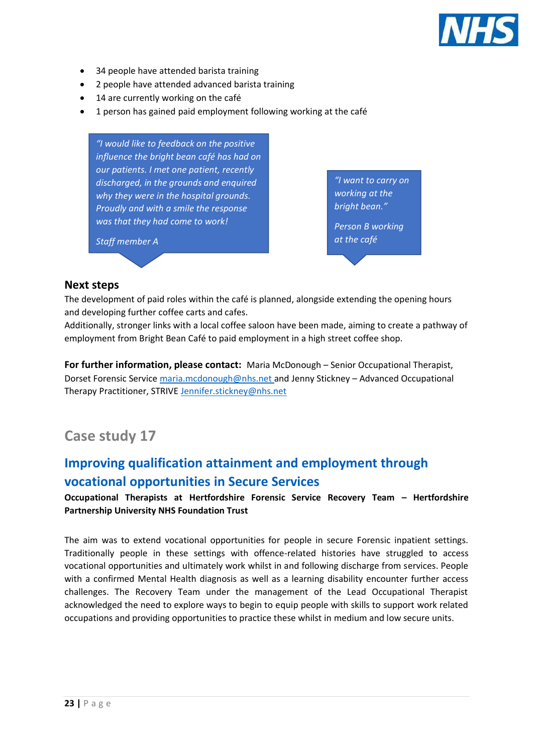

- 34 people have attended barista training
- 2 people have attended advanced barista training
- 14 are currently working on the café
- 1 person has gained paid employment following working at the café

*"I would like to feedback on the positive influence the bright bean café has had on our patients. I met one patient, recently discharged, in the grounds and enquired why they were in the hospital grounds. Proudly and with a smile the response was that they had come to work!*

*Staff member A*

*"I want to carry on working at the bright bean."*

*Person B working at the café* 

#### **Next steps**

The development of paid roles within the café is planned, alongside extending the opening hours and developing further coffee carts and cafes.

Additionally, stronger links with a local coffee saloon have been made, aiming to create a pathway of employment from Bright Bean Café to paid employment in a high street coffee shop.

**For further information, please contact:** Maria McDonough – Senior Occupational Therapist, Dorset Forensic Service [maria.mcdonough@nhs.net](mailto:maria.mcdonough@nhs.net) and Jenny Stickney – Advanced Occupational Therapy Practitioner, STRIVE [Jennifer.stickney@nhs.net](mailto:Jennifer.stickney@nhs.net)

### **Case study 17**

### **Improving qualification attainment and employment through vocational opportunities in Secure Services**

**Occupational Therapists at Hertfordshire Forensic Service Recovery Team – Hertfordshire Partnership University NHS Foundation Trust**

The aim was to extend vocational opportunities for people in secure Forensic inpatient settings. Traditionally people in these settings with offence-related histories have struggled to access vocational opportunities and ultimately work whilst in and following discharge from services. People with a confirmed Mental Health diagnosis as well as a learning disability encounter further access challenges. The Recovery Team under the management of the Lead Occupational Therapist acknowledged the need to explore ways to begin to equip people with skills to support work related occupations and providing opportunities to practice these whilst in medium and low secure units.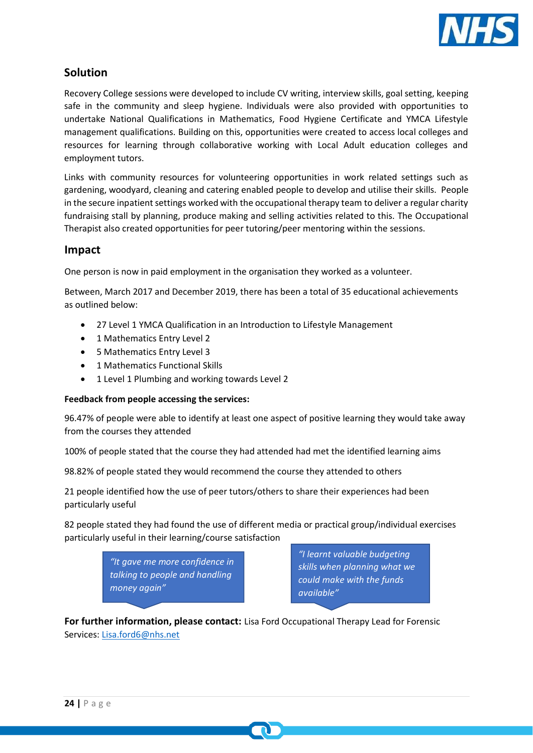

#### **Solution**

Recovery College sessions were developed to include CV writing, interview skills, goal setting, keeping safe in the community and sleep hygiene. Individuals were also provided with opportunities to undertake National Qualifications in Mathematics, Food Hygiene Certificate and YMCA Lifestyle management qualifications. Building on this, opportunities were created to access local colleges and resources for learning through collaborative working with Local Adult education colleges and employment tutors.

Links with community resources for volunteering opportunities in work related settings such as gardening, woodyard, cleaning and catering enabled people to develop and utilise their skills. People in the secure inpatient settings worked with the occupational therapy team to deliver a regular charity fundraising stall by planning, produce making and selling activities related to this. The Occupational Therapist also created opportunities for peer tutoring/peer mentoring within the sessions.

#### **Impact**

One person is now in paid employment in the organisation they worked as a volunteer.

Between, March 2017 and December 2019, there has been a total of 35 educational achievements as outlined below:

- 27 Level 1 YMCA Qualification in an Introduction to Lifestyle Management
- 1 Mathematics Entry Level 2
- 5 Mathematics Entry Level 3
- 1 Mathematics Functional Skills
- 1 Level 1 Plumbing and working towards Level 2

#### **Feedback from people accessing the services:**

96.47% of people were able to identify at least one aspect of positive learning they would take away from the courses they attended

100% of people stated that the course they had attended had met the identified learning aims

98.82% of people stated they would recommend the course they attended to others

21 people identified how the use of peer tutors/others to share their experiences had been particularly useful

82 people stated they had found the use of different media or practical group/individual exercises particularly useful in their learning/course satisfaction

> *"It gave me more confidence in talking to people and handling money again"*

*"I learnt valuable budgeting skills when planning what we could make with the funds available"*

**For further information, please contact:** Lisa Ford Occupational Therapy Lead for Forensic Services: [Lisa.ford6@nhs.net](mailto:Lisa.ford6@nhs.net)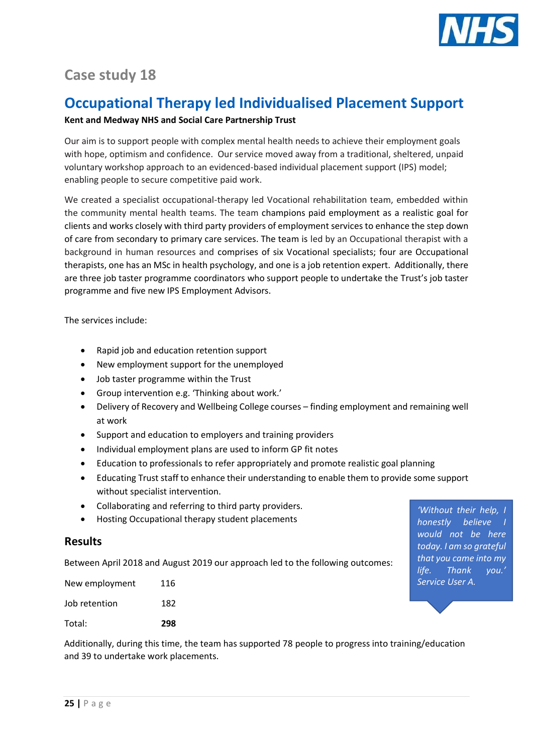

# **Case study 18**

## **Occupational Therapy led Individualised Placement Support**

#### **Kent and Medway NHS and Social Care Partnership Trust**

Our aim is to support people with complex mental health needs to achieve their employment goals with hope, optimism and confidence. Our service moved away from a traditional, sheltered, unpaid voluntary workshop approach to an evidenced-based individual placement support (IPS) model; enabling people to secure competitive paid work.

We created a specialist occupational-therapy led Vocational rehabilitation team, embedded within the community mental health teams. The team champions paid employment as a realistic goal for clients and works closely with third party providers of employment services to enhance the step down of care from secondary to primary care services. The team is led by an Occupational therapist with a background in human resources and comprises of six Vocational specialists; four are Occupational therapists, one has an MSc in health psychology, and one is a job retention expert. Additionally, there are three job taster programme coordinators who support people to undertake the Trust's job taster programme and five new IPS Employment Advisors.

The services include:

- Rapid job and education retention support
- New employment support for the unemployed
- Job taster programme within the Trust
- Group intervention e.g. 'Thinking about work.'
- Delivery of Recovery and Wellbeing College courses finding employment and remaining well at work
- Support and education to employers and training providers
- Individual employment plans are used to inform GP fit notes
- Education to professionals to refer appropriately and promote realistic goal planning
- Educating Trust staff to enhance their understanding to enable them to provide some support without specialist intervention.
- Collaborating and referring to third party providers.
- Hosting Occupational therapy student placements

#### **Results**

Between April 2018 and August 2019 our approach led to the following outcomes:

| New employment | 116  |
|----------------|------|
| Job retention  | 182. |
| Total:         | 298  |

*'Without their help, I*   $h$ onestly believe *would not be here today. I am so grateful that you came into my life. Thank you.' Service User A.* 

Additionally, during this time, the team has supported 78 people to progress into training/education and 39 to undertake work placements.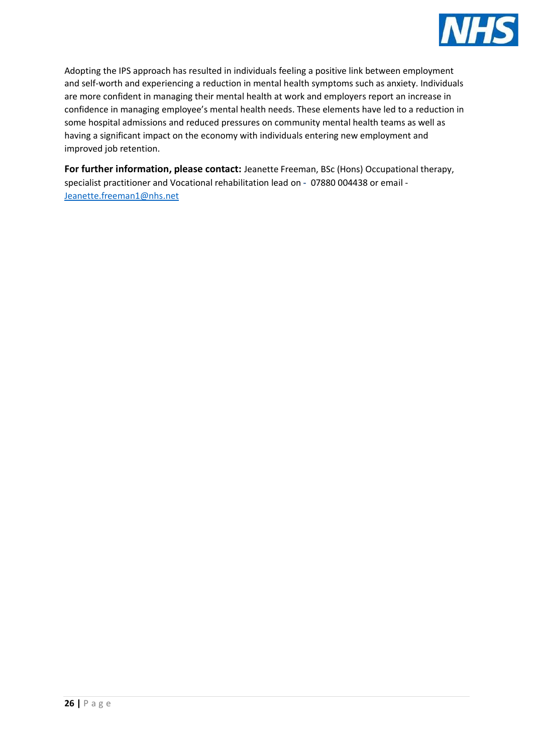

Adopting the IPS approach has resulted in individuals feeling a positive link between employment and self-worth and experiencing a reduction in mental health symptoms such as anxiety. Individuals are more confident in managing their mental health at work and employers report an increase in confidence in managing employee's mental health needs. These elements have led to a reduction in some hospital admissions and reduced pressures on community mental health teams as well as having a significant impact on the economy with individuals entering new employment and improved job retention.

**For further information, please contact:** Jeanette Freeman, BSc (Hons) Occupational therapy, specialist practitioner and Vocational rehabilitation lead on **-** 07880 004438 or email - [Jeanette.freeman1@nhs.net](mailto:Jeanette.freeman1@nhs.net)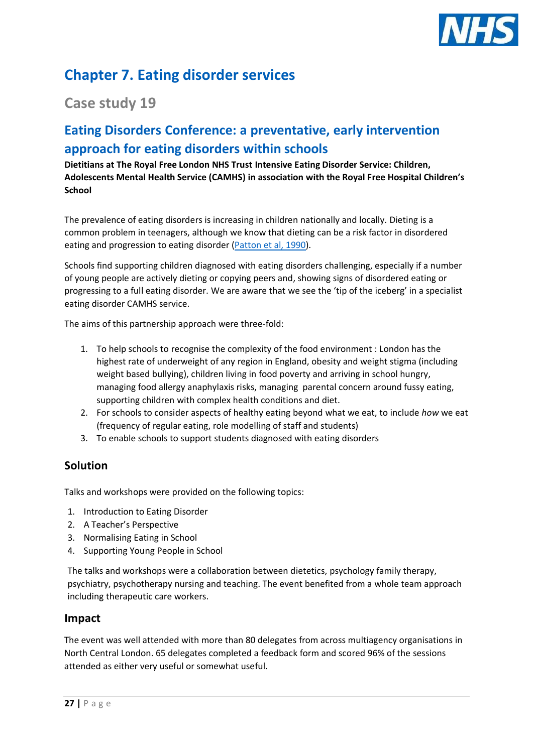

# **Chapter 7. Eating disorder services**

### **Case study 19**

### **Eating Disorders Conference: a preventative, early intervention approach for eating disorders within schools**

#### **Dietitians at The Royal Free London NHS Trust Intensive Eating Disorder Service: Children, Adolescents Mental Health Service (CAMHS) in association with the Royal Free Hospital Children's School**

The prevalence of eating disorders is increasing in children nationally and locally. Dieting is a common problem in teenagers, although we know that dieting can be a risk factor in disordered eating and progression to eating disorder [\(Patton et al, 1990\)](https://www.cambridge.org/core/journals/psychological-medicine/article/abnormal-eating-attitudes-in-london-schoolgirls-a-prospective-epidemiological-study-outcome-at-twelve-month-followup/362F06ABBA71211E67A1811910DF5C28).

Schools find supporting children diagnosed with eating disorders challenging, especially if a number of young people are actively dieting or copying peers and, showing signs of disordered eating or progressing to a full eating disorder. We are aware that we see the 'tip of the iceberg' in a specialist eating disorder CAMHS service.

The aims of this partnership approach were three-fold:

- 1. To help schools to recognise the complexity of the food environment : London has the highest rate of underweight of any region in England, obesity and weight stigma (including weight based bullying), children living in food poverty and arriving in school hungry, managing food allergy anaphylaxis risks, managing parental concern around fussy eating, supporting children with complex health conditions and diet.
- 2. For schools to consider aspects of healthy eating beyond what we eat, to include *how* we eat (frequency of regular eating, role modelling of staff and students)
- 3. To enable schools to support students diagnosed with eating disorders

#### **Solution**

Talks and workshops were provided on the following topics:

- 1. Introduction to Eating Disorder
- 2. A Teacher's Perspective
- 3. Normalising Eating in School
- 4. Supporting Young People in School

The talks and workshops were a collaboration between dietetics, psychology family therapy, psychiatry, psychotherapy nursing and teaching. The event benefited from a whole team approach including therapeutic care workers.

#### **Impact**

The event was well attended with more than 80 delegates from across multiagency organisations in North Central London. 65 delegates completed a feedback form and scored 96% of the sessions attended as either very useful or somewhat useful.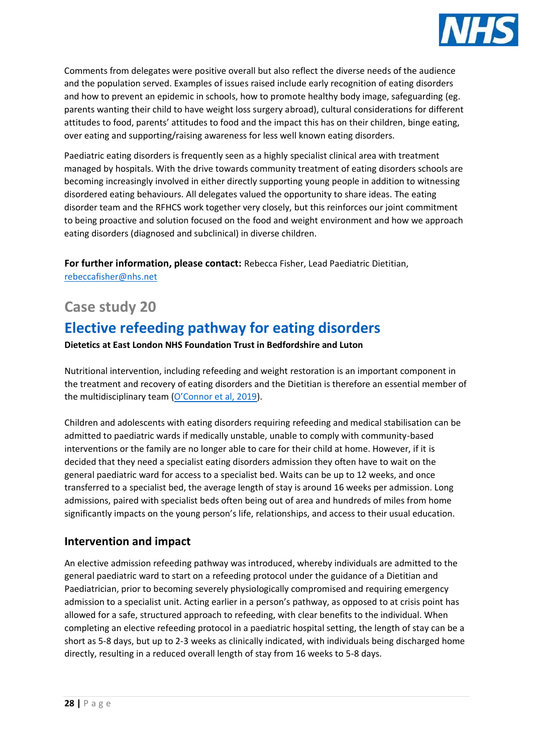

Comments from delegates were positive overall but also reflect the diverse needs of the audience and the population served. Examples of issues raised include early recognition of eating disorders and how to prevent an epidemic in schools, how to promote healthy body image, safeguarding (eg. parents wanting their child to have weight loss surgery abroad), cultural considerations for different attitudes to food, parents' attitudes to food and the impact this has on their children, binge eating, over eating and supporting/raising awareness for less well known eating disorders.

Paediatric eating disorders is frequently seen as a highly specialist clinical area with treatment managed by hospitals. With the drive towards community treatment of eating disorders schools are becoming increasingly involved in either directly supporting young people in addition to witnessing disordered eating behaviours. All delegates valued the opportunity to share ideas. The eating disorder team and the RFHCS work together very closely, but this reinforces our joint commitment to being proactive and solution focused on the food and weight environment and how we approach eating disorders (diagnosed and subclinical) in diverse children.

**For further information, please contact:** Rebecca Fisher, Lead Paediatric Dietitian, [rebeccafisher@nhs.net](mailto:rebeccafisher@nhs.net)

### **Case study 20**

# **Elective refeeding pathway for eating disorders**

**Dietetics at East London NHS Foundation Trust in Bedfordshire and Luton** 

Nutritional intervention, including refeeding and weight restoration is an important component in the treatment and recovery of eating disorders and the Dietitian is therefore an essential member of the multidisciplinary team ([O'Connor et al, 2019](https://scholar.google.co.uk/scholar?hl=en&as_sdt=0%2C5&as_vis=1&q=Developing+Clinical+Guidelines+for+Dietitians+Treating+Young+People+with+Anorexia+Nervosa-Family+Focused+Approach+Working+Alongside+Family+Therapists&btnG=)).

Children and adolescents with eating disorders requiring refeeding and medical stabilisation can be admitted to paediatric wards if medically unstable, unable to comply with community-based interventions or the family are no longer able to care for their child at home. However, if it is decided that they need a specialist eating disorders admission they often have to wait on the general paediatric ward for access to a specialist bed. Waits can be up to 12 weeks, and once transferred to a specialist bed, the average length of stay is around 16 weeks per admission. Long admissions, paired with specialist beds often being out of area and hundreds of miles from home significantly impacts on the young person's life, relationships, and access to their usual education.

#### **Intervention and impact**

An elective admission refeeding pathway was introduced, whereby individuals are admitted to the general paediatric ward to start on a refeeding protocol under the guidance of a Dietitian and Paediatrician, prior to becoming severely physiologically compromised and requiring emergency admission to a specialist unit. Acting earlier in a person's pathway, as opposed to at crisis point has allowed for a safe, structured approach to refeeding, with clear benefits to the individual. When completing an elective refeeding protocol in a paediatric hospital setting, the length of stay can be a short as 5-8 days, but up to 2-3 weeks as clinically indicated, with individuals being discharged home directly, resulting in a reduced overall length of stay from 16 weeks to 5-8 days.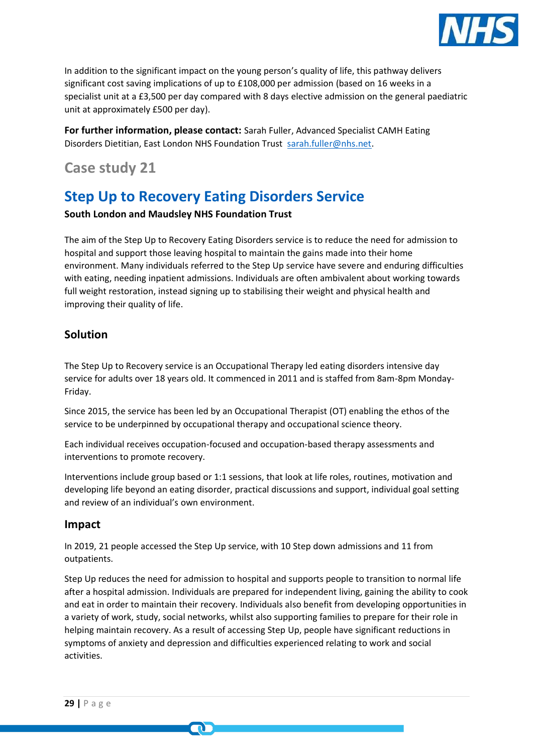

In addition to the significant impact on the young person's quality of life, this pathway delivers significant cost saving implications of up to £108,000 per admission (based on 16 weeks in a specialist unit at a £3,500 per day compared with 8 days elective admission on the general paediatric unit at approximately £500 per day).

**For further information, please contact:** Sarah Fuller, Advanced Specialist CAMH Eating Disorders Dietitian, East London NHS Foundation Trust [sarah.fuller@nhs.net.](mailto:sarah.fuller@nhs.net)

### **Case study 21**

# **Step Up to Recovery Eating Disorders Service**

#### **South London and Maudsley NHS Foundation Trust**

The aim of the Step Up to Recovery Eating Disorders service is to reduce the need for admission to hospital and support those leaving hospital to maintain the gains made into their home environment. Many individuals referred to the Step Up service have severe and enduring difficulties with eating, needing inpatient admissions. Individuals are often ambivalent about working towards full weight restoration, instead signing up to stabilising their weight and physical health and improving their quality of life.

#### **Solution**

The Step Up to Recovery service is an Occupational Therapy led eating disorders intensive day service for adults over 18 years old. It commenced in 2011 and is staffed from 8am-8pm Monday-Friday.

Since 2015, the service has been led by an Occupational Therapist (OT) enabling the ethos of the service to be underpinned by occupational therapy and occupational science theory.

Each individual receives occupation-focused and occupation-based therapy assessments and interventions to promote recovery.

Interventions include group based or 1:1 sessions, that look at life roles, routines, motivation and developing life beyond an eating disorder, practical discussions and support, individual goal setting and review of an individual's own environment.

#### **Impact**

In 2019, 21 people accessed the Step Up service, with 10 Step down admissions and 11 from outpatients.

m

Step Up reduces the need for admission to hospital and supports people to transition to normal life after a hospital admission. Individuals are prepared for independent living, gaining the ability to cook and eat in order to maintain their recovery. Individuals also benefit from developing opportunities in a variety of work, study, social networks, whilst also supporting families to prepare for their role in helping maintain recovery. As a result of accessing Step Up, people have significant reductions in symptoms of anxiety and depression and difficulties experienced relating to work and social activities.